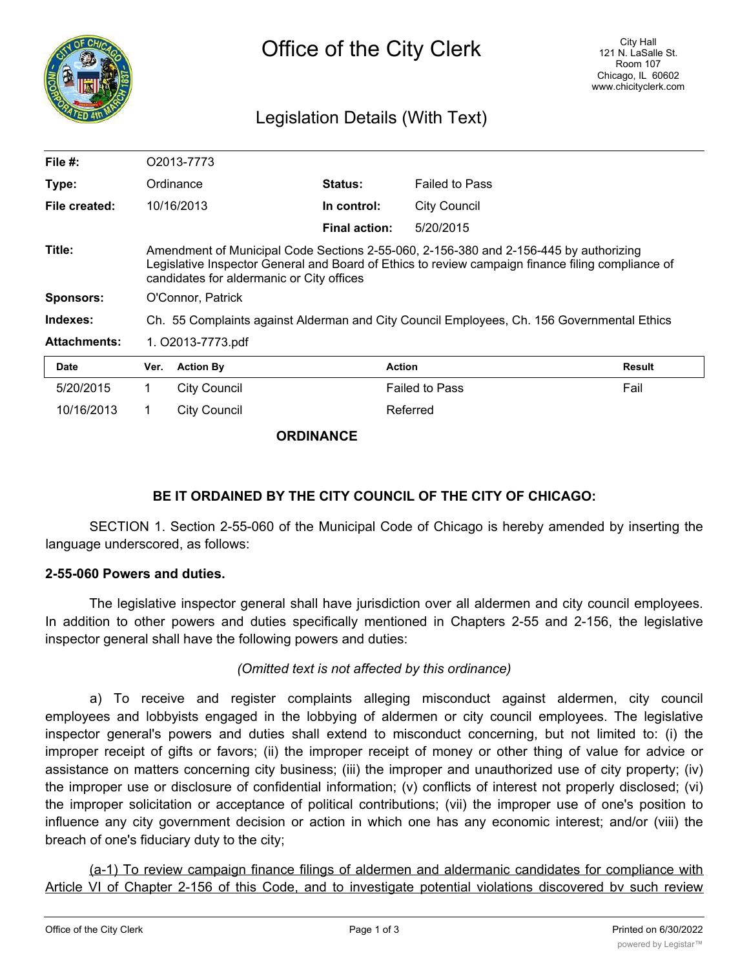

# Legislation Details (With Text)

| File $#$ :          | O2013-7773                                                                                                                                                                                                                              |                     |                      |                       |               |
|---------------------|-----------------------------------------------------------------------------------------------------------------------------------------------------------------------------------------------------------------------------------------|---------------------|----------------------|-----------------------|---------------|
| Type:               | Ordinance                                                                                                                                                                                                                               |                     | <b>Status:</b>       | <b>Failed to Pass</b> |               |
| File created:       |                                                                                                                                                                                                                                         | 10/16/2013          | In control:          | <b>City Council</b>   |               |
|                     |                                                                                                                                                                                                                                         |                     | <b>Final action:</b> | 5/20/2015             |               |
| Title:              | Amendment of Municipal Code Sections 2-55-060, 2-156-380 and 2-156-445 by authorizing<br>Legislative Inspector General and Board of Ethics to review campaign finance filing compliance of<br>candidates for aldermanic or City offices |                     |                      |                       |               |
| <b>Sponsors:</b>    | O'Connor, Patrick                                                                                                                                                                                                                       |                     |                      |                       |               |
| Indexes:            | Ch. 55 Complaints against Alderman and City Council Employees, Ch. 156 Governmental Ethics                                                                                                                                              |                     |                      |                       |               |
| <b>Attachments:</b> | 1. O2013-7773.pdf                                                                                                                                                                                                                       |                     |                      |                       |               |
| <b>Date</b>         | Ver.                                                                                                                                                                                                                                    | <b>Action By</b>    | <b>Action</b>        |                       | <b>Result</b> |
| 5/20/2015           |                                                                                                                                                                                                                                         | <b>City Council</b> |                      | <b>Failed to Pass</b> | Fail          |

10/16/2013 1 City Council 100 Referred

**ORDINANCE**

## **BE IT ORDAINED BY THE CITY COUNCIL OF THE CITY OF CHICAGO:**

SECTION 1. Section 2-55-060 of the Municipal Code of Chicago is hereby amended by inserting the language underscored, as follows:

### **2-55-060 Powers and duties.**

The legislative inspector general shall have jurisdiction over all aldermen and city council employees. In addition to other powers and duties specifically mentioned in Chapters 2-55 and 2-156, the legislative inspector general shall have the following powers and duties:

## *(Omitted text is not affected by this ordinance)*

a) To receive and register complaints alleging misconduct against aldermen, city council employees and lobbyists engaged in the lobbying of aldermen or city council employees. The legislative inspector general's powers and duties shall extend to misconduct concerning, but not limited to: (i) the improper receipt of gifts or favors; (ii) the improper receipt of money or other thing of value for advice or assistance on matters concerning city business; (iii) the improper and unauthorized use of city property; (iv) the improper use or disclosure of confidential information; (v) conflicts of interest not properly disclosed; (vi) the improper solicitation or acceptance of political contributions; (vii) the improper use of one's position to influence any city government decision or action in which one has any economic interest; and/or (viii) the breach of one's fiduciary duty to the city;

(a-1) To review campaign finance filings of aldermen and aldermanic candidates for compliance with Article VI of Chapter 2-156 of this Code, and to investigate potential violations discovered by such review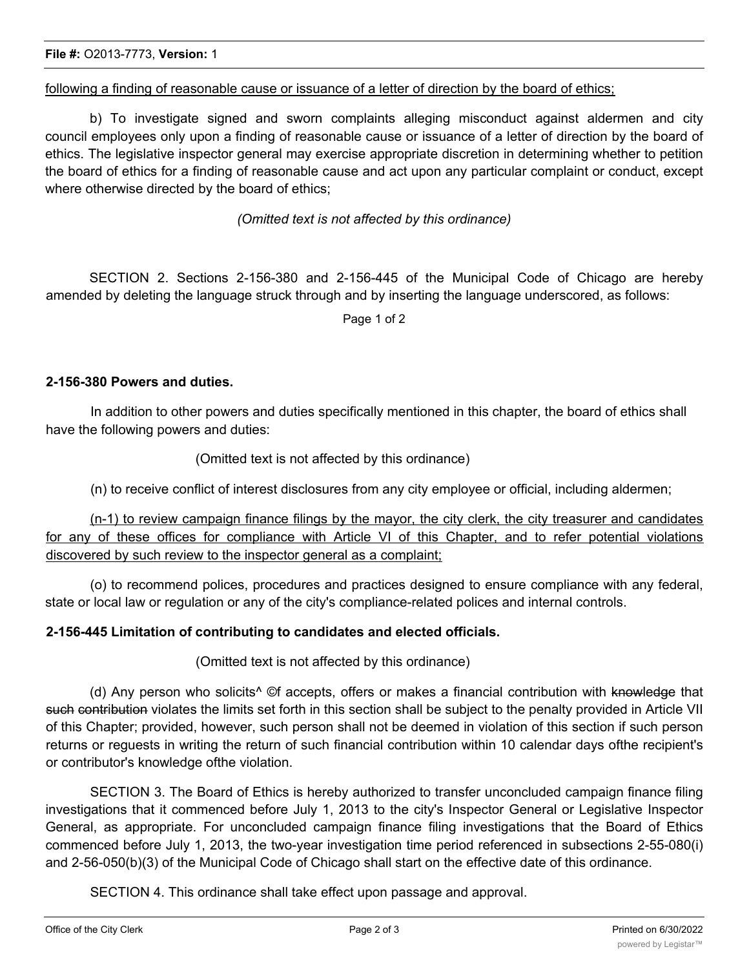following a finding of reasonable cause or issuance of a letter of direction by the board of ethics;

b) To investigate signed and sworn complaints alleging misconduct against aldermen and city council employees only upon a finding of reasonable cause or issuance of a letter of direction by the board of ethics. The legislative inspector general may exercise appropriate discretion in determining whether to petition the board of ethics for a finding of reasonable cause and act upon any particular complaint or conduct, except where otherwise directed by the board of ethics;

*(Omitted text is not affected by this ordinance)*

SECTION 2. Sections 2-156-380 and 2-156-445 of the Municipal Code of Chicago are hereby amended by deleting the language struck through and by inserting the language underscored, as follows:

Page 1 of 2

#### **2-156-380 Powers and duties.**

In addition to other powers and duties specifically mentioned in this chapter, the board of ethics shall have the following powers and duties:

(Omitted text is not affected by this ordinance)

(n) to receive conflict of interest disclosures from any city employee or official, including aldermen;

(n-1) to review campaign finance filings by the mayor, the city clerk, the city treasurer and candidates for any of these offices for compliance with Article VI of this Chapter, and to refer potential violations discovered by such review to the inspector general as a complaint;

(o) to recommend polices, procedures and practices designed to ensure compliance with any federal, state or local law or regulation or any of the city's compliance-related polices and internal controls.

#### **2-156-445 Limitation of contributing to candidates and elected officials.**

(Omitted text is not affected by this ordinance)

(d) Any person who solicits<sup>^</sup> ©f accepts, offers or makes a financial contribution with knowledge that such contribution violates the limits set forth in this section shall be subject to the penalty provided in Article VII of this Chapter; provided, however, such person shall not be deemed in violation of this section if such person returns or reguests in writing the return of such financial contribution within 10 calendar days ofthe recipient's or contributor's knowledge ofthe violation.

SECTION 3. The Board of Ethics is hereby authorized to transfer unconcluded campaign finance filing investigations that it commenced before July 1, 2013 to the city's Inspector General or Legislative Inspector General, as appropriate. For unconcluded campaign finance filing investigations that the Board of Ethics commenced before July 1, 2013, the two-year investigation time period referenced in subsections 2-55-080(i) and 2-56-050(b)(3) of the Municipal Code of Chicago shall start on the effective date of this ordinance.

SECTION 4. This ordinance shall take effect upon passage and approval.